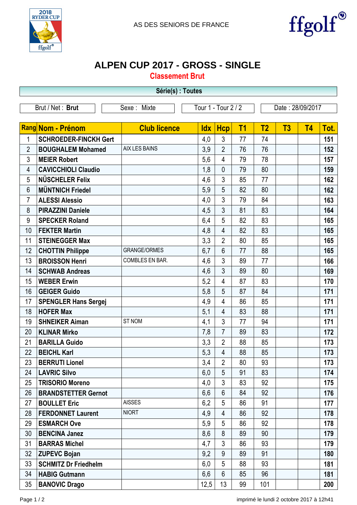



## **ALPEN CUP 2017 - GROSS - SINGLE**

**Classement Brut**

|                  |                              |                     | Série(s) : Toutes   |                |                |                  |    |           |      |  |  |  |  |
|------------------|------------------------------|---------------------|---------------------|----------------|----------------|------------------|----|-----------|------|--|--|--|--|
| Brut / Net: Brut |                              | Sexe: Mixte         | Tour 1 - Tour 2 / 2 |                |                | Date: 28/09/2017 |    |           |      |  |  |  |  |
|                  |                              |                     |                     |                |                |                  |    |           |      |  |  |  |  |
|                  | Rang Nom - Prénom            | <b>Club licence</b> | <b>Idx</b>          | <b>Hcp</b>     | T <sub>1</sub> | T <sub>2</sub>   | T3 | <b>T4</b> | Tot. |  |  |  |  |
| 1                | <b>SCHROEDER-FINCKH Gert</b> |                     | 4,0                 | 3              | 77             | 74               |    |           | 151  |  |  |  |  |
| $\overline{2}$   | <b>BOUGHALEM Mohamed</b>     | AIX LES BAINS       | 3,9                 | $\overline{2}$ | 76             | 76               |    |           | 152  |  |  |  |  |
| 3                | <b>MEIER Robert</b>          |                     | 5,6                 | 4              | 79             | 78               |    |           | 157  |  |  |  |  |
| 4                | <b>CAVICCHIOLI Claudio</b>   |                     | 1,8                 | $\mathbf{0}$   | 79             | 80               |    |           | 159  |  |  |  |  |
| 5                | NÜSCHELER Felix              |                     | 4,6                 | 3              | 85             | 77               |    |           | 162  |  |  |  |  |
| 6                | <b>MÜNTNICH Friedel</b>      |                     | 5,9                 | 5              | 82             | 80               |    |           | 162  |  |  |  |  |
| $\overline{7}$   | <b>ALESSI Alessio</b>        |                     | 4,0                 | 3              | 79             | 84               |    |           | 163  |  |  |  |  |
| 8                | <b>PIRAZZINI Daniele</b>     |                     | 4,5                 | 3              | 81             | 83               |    |           | 164  |  |  |  |  |
| 9                | <b>SPECKER Roland</b>        |                     | 6,4                 | 5              | 82             | 83               |    |           | 165  |  |  |  |  |
| 10               | <b>FEKTER Martin</b>         |                     | 4,8                 | $\overline{4}$ | 82             | 83               |    |           | 165  |  |  |  |  |
| 11               | <b>STEINEGGER Max</b>        |                     | 3,3                 | $\overline{2}$ | 80             | 85               |    |           | 165  |  |  |  |  |
| 12               | <b>CHOTTIN Philippe</b>      | <b>GRANGE/ORMES</b> | 6,7                 | 6              | 77             | 88               |    |           | 165  |  |  |  |  |
| 13               | <b>BROISSON Henri</b>        | COMBLES EN BAR.     | 4,6                 | 3              | 89             | 77               |    |           | 166  |  |  |  |  |
| 14               | <b>SCHWAB Andreas</b>        |                     | 4,6                 | 3              | 89             | 80               |    |           | 169  |  |  |  |  |
| 15               | <b>WEBER Erwin</b>           |                     | 5,2                 | 4              | 87             | 83               |    |           | 170  |  |  |  |  |
| 16               | <b>GEIGER Guido</b>          |                     | 5,8                 | 5              | 87             | 84               |    |           | 171  |  |  |  |  |
| 17               | <b>SPENGLER Hans Sergej</b>  |                     | 4,9                 | 4              | 86             | 85               |    |           | 171  |  |  |  |  |
| 18               | <b>HOFER Max</b>             |                     | 5,1                 | 4              | 83             | 88               |    |           | 171  |  |  |  |  |
| 19               | <b>SHNEIKER Aiman</b>        | ST NOM              | 4,1                 | 3              | 77             | 94               |    |           | 171  |  |  |  |  |
| 20               | <b>KLINAR Mirko</b>          |                     | 7,8                 | $\overline{7}$ | 89             | 83               |    |           | 172  |  |  |  |  |
| 21               | <b>BARILLA Guido</b>         |                     | 3,3                 | $\overline{2}$ | 88             | 85               |    |           | 173  |  |  |  |  |
| 22               | <b>BEICHL Karl</b>           |                     | 5,3                 | 4              | 88             | 85               |    |           | 173  |  |  |  |  |
| 23               | <b>BERRUTI Lionel</b>        |                     | 3,4                 | $\overline{2}$ | 80             | 93               |    |           | 173  |  |  |  |  |
| 24               | <b>LAVRIC Silvo</b>          |                     | 6,0                 | 5              | 91             | 83               |    |           | 174  |  |  |  |  |
| 25               | <b>TRISORIO Moreno</b>       |                     | 4,0                 | 3              | 83             | 92               |    |           | 175  |  |  |  |  |
| 26               | <b>BRANDSTETTER Gernot</b>   |                     | 6,6                 | $6\phantom{1}$ | 84             | 92               |    |           | 176  |  |  |  |  |
| 27               | <b>BOULLET Eric</b>          | <b>AISSES</b>       | 6,2                 | 5              | 86             | 91               |    |           | 177  |  |  |  |  |
| 28               | <b>FERDONNET Laurent</b>     | <b>NIORT</b>        | 4,9                 | $\overline{4}$ | 86             | 92               |    |           | 178  |  |  |  |  |
| 29               | <b>ESMARCH Ove</b>           |                     | 5,9                 | 5              | 86             | 92               |    |           | 178  |  |  |  |  |
| 30               | <b>BENCINA Janez</b>         |                     | 8,6                 | 8              | 89             | 90               |    |           | 179  |  |  |  |  |
| 31               | <b>BARRAS Michel</b>         |                     | 4,7                 | 3              | 86             | 93               |    |           | 179  |  |  |  |  |
| 32               | <b>ZUPEVC Bojan</b>          |                     | 9,2                 | 9              | 89             | 91               |    |           | 180  |  |  |  |  |
| 33               | <b>SCHMITZ Dr Friedhelm</b>  |                     | 6,0                 | 5              | 88             | 93               |    |           | 181  |  |  |  |  |
| 34               | <b>HABIG Gutmann</b>         |                     | 6,6                 | $6\phantom{1}$ | 85             | 96               |    |           | 181  |  |  |  |  |
| 35               | <b>BANOVIC Drago</b>         |                     | 12,5                | 13             | 99             | 101              |    |           | 200  |  |  |  |  |